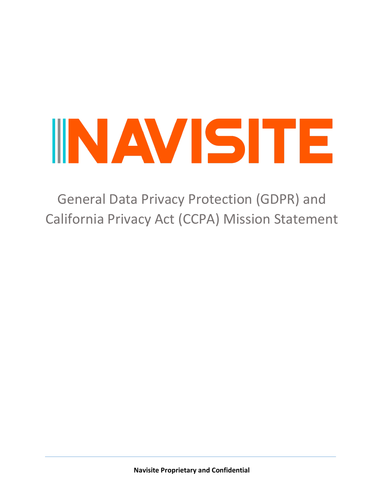General Data Privacy Protection (GDPR) and California Privacy Act (CCPA) Mission Statement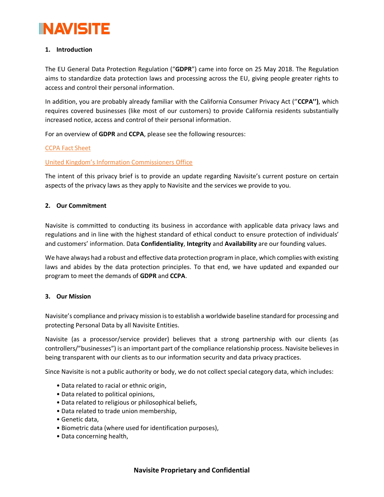# **1. Introduction**

The EU General Data Protection Regulation ("**GDPR**") came into force on 25 May 2018. The Regulation aims to standardize data protection laws and processing across the EU, giving people greater rights to access and control their personal information.

In addition, you are probably already familiar with the California Consumer Privacy Act (''**CCPA'')**, which requires covered businesses (like most of our customers) to provide California residents substantially increased notice, access and control of their personal information.

For an overview of **GDPR** and **CCPA**, please see the following resources:

# [CCPA Fact Sheet](https://oag.ca.gov/system/files/attachments/press_releases/CCPA%20Fact%20Sheet%20%2800000002%29.pdf)

# Unite[d Kingdom's Information Commissioners Office](https://ico.org.uk/for-organisations/guide-to-data-protection/guide-to-the-general-data-protection-regulation-gdpr/)

The intent of this privacy brief is to provide an update regarding Navisite's current posture on certain aspects of the privacy laws as they apply to Navisite and the services we provide to you.

# **2. Our Commitment**

Navisite is committed to conducting its business in accordance with applicable data privacy laws and regulations and in line with the highest standard of ethical conduct to ensure protection of individuals' and customers' information. Data **Confidentiality**, **Integrity** and **Availability** are our founding values.

We have always had a robust and effective data protection program in place, which complies with existing laws and abides by the data protection principles. To that end, we have updated and expanded our program to meet the demands of **GDPR** and **CCPA**.

# **3. Our Mission**

Navisite's compliance and privacy mission is to establish a worldwide baseline standard for processing and protecting Personal Data by all Navisite Entities.

Navisite (as a processor/service provider) believes that a strong partnership with our clients (as controllers/"businesses") is an important part of the compliance relationship process. Navisite believes in being transparent with our clients as to our information security and data privacy practices.

Since Navisite is not a public authority or body, we do not collect special category data, which includes:

- Data related to racial or ethnic origin,
- Data related to political opinions,
- Data related to religious or philosophical beliefs,
- Data related to trade union membership,
- Genetic data,
- Biometric data (where used for identification purposes),
- Data concerning health,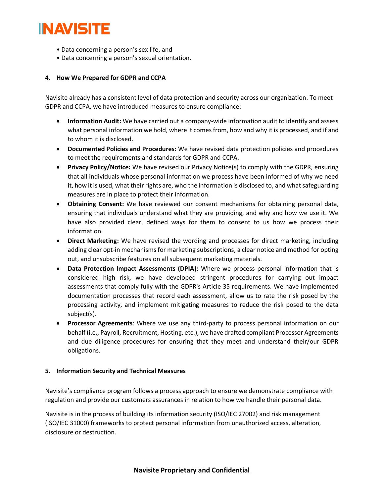- Data concerning a person's sex life, and
- Data concerning a person's sexual orientation.

# **4. How We Prepared for GDPR and CCPA**

Navisite already has a consistent level of data protection and security across our organization. To meet GDPR and CCPA, we have introduced measures to ensure compliance:

- **Information Audit:** We have carried out a company-wide information audit to identify and assess what personal information we hold, where it comes from, how and why it is processed, and if and to whom it is disclosed.
- **Documented Policies and Procedures:** We have revised data protection policies and procedures to meet the requirements and standards for GDPR and CCPA.
- **Privacy Policy/Notice:** We have revised our Privacy Notice(s) to comply with the GDPR, ensuring that all individuals whose personal information we process have been informed of why we need it, how it is used, what their rights are, who the information is disclosed to, and what safeguarding measures are in place to protect their information.
- **Obtaining Consent:** We have reviewed our consent mechanisms for obtaining personal data, ensuring that individuals understand what they are providing, and why and how we use it. We have also provided clear, defined ways for them to consent to us how we process their information.
- **Direct Marketing:** We have revised the wording and processes for direct marketing, including adding clear opt-in mechanisms for marketing subscriptions, a clear notice and method for opting out, and unsubscribe features on all subsequent marketing materials.
- **Data Protection Impact Assessments (DPIA):** Where we process personal information that is considered high risk, we have developed stringent procedures for carrying out impact assessments that comply fully with the GDPR's Article 35 requirements. We have implemented documentation processes that record each assessment, allow us to rate the risk posed by the processing activity, and implement mitigating measures to reduce the risk posed to the data subject(s).
- **Processor Agreements**: Where we use any third-party to process personal information on our behalf (i.e., Payroll, Recruitment, Hosting, etc.), we have drafted compliant Processor Agreements and due diligence procedures for ensuring that they meet and understand their/our GDPR obligations.

# **5. Information Security and Technical Measures**

Navisite's compliance program follows a process approach to ensure we demonstrate compliance with regulation and provide our customers assurances in relation to how we handle their personal data.

Navisite is in the process of building its information security (ISO/IEC 27002) and risk management (ISO/IEC 31000) frameworks to protect personal information from unauthorized access, alteration, disclosure or destruction.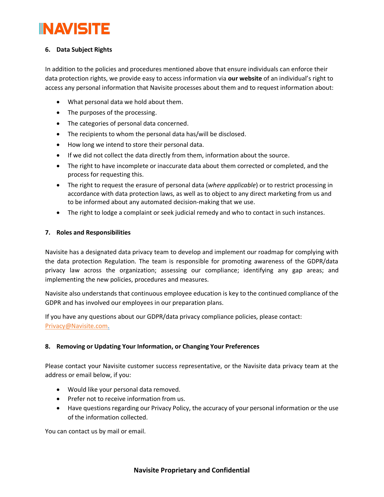# **6. Data Subject Rights**

In addition to the policies and procedures mentioned above that ensure individuals can enforce their data protection rights, we provide easy to access information via **our website** of an individual's right to access any personal information that Navisite processes about them and to request information about:

- What personal data we hold about them.
- The purposes of the processing.
- The categories of personal data concerned.
- The recipients to whom the personal data has/will be disclosed.
- How long we intend to store their personal data.
- If we did not collect the data directly from them, information about the source.
- The right to have incomplete or inaccurate data about them corrected or completed, and the process for requesting this.
- The right to request the erasure of personal data (*where applicable*) or to restrict processing in accordance with data protection laws, as well as to object to any direct marketing from us and to be informed about any automated decision-making that we use.
- The right to lodge a complaint or seek judicial remedy and who to contact in such instances.

# **7. Roles and Responsibilities**

Navisite has a designated data privacy team to develop and implement our roadmap for complying with the data protection Regulation. The team is responsible for promoting awareness of the GDPR/data privacy law across the organization; assessing our compliance; identifying any gap areas; and implementing the new policies, procedures and measures.

Navisite also understands that continuous employee education is key to the continued compliance of the GDPR and has involved our employees in our preparation plans.

If you have any questions about our GDPR/data privacy compliance policies, please contact: [Privacy@Navisite.com.](mailto:Privacy@Navisite.com)

# **8. Removing or Updating Your Information, or Changing Your Preferences**

Please contact your Navisite customer success representative, or the Navisite data privacy team at the address or email below, if you:

- Would like your personal data removed.
- Prefer not to receive information from us.
- Have questions regarding our Privacy Policy, the accuracy of your personal information or the use of the information collected.

You can contact us by mail or email.